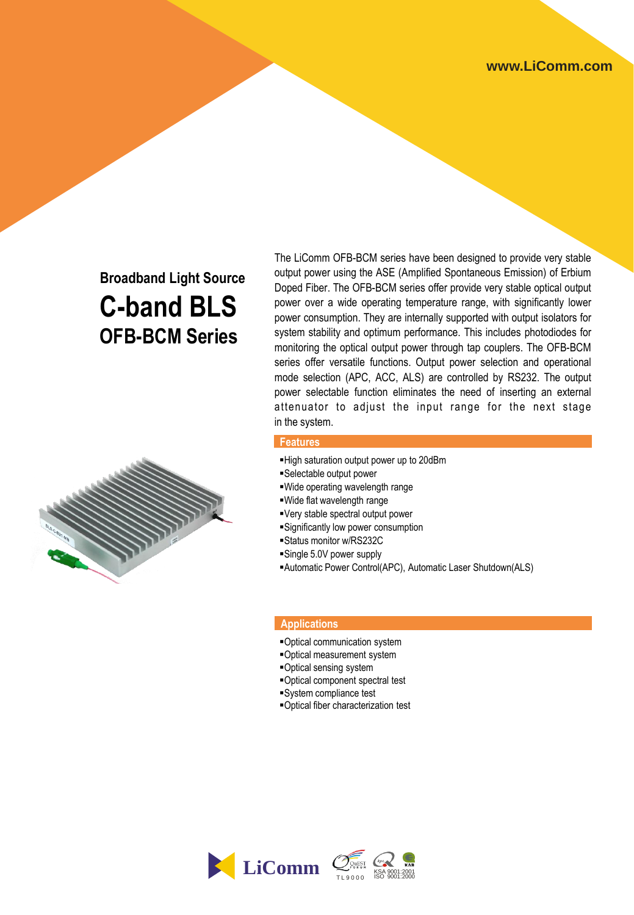# **Broadband Light Source C-band BLS OFB-BCM Series**



The LiComm OFB-BCM series have been designed to provide very stable output power using the ASE (Amplified Spontaneous Emission) of Erbium Doped Fiber. The OFB-BCM series offer provide very stable optical output power over a wide operating temperature range, with significantly lower power consumption. They are internally supported with output isolators for system stability and optimum performance. This includes photodiodes for monitoring the optical output power through tap couplers. The OFB-BCM series offer versatile functions. Output power selection and operational mode selection (APC, ACC, ALS) are controlled by RS232. The output power selectable function eliminates the need of inserting an external attenuator to adjust the input range for the next stage in the system.

### **Features**

- High saturation output power up to 20dBm
- Selectable output power
- Wide operating wavelength range
- Wide flat wavelength range
- Very stable spectral output power
- Significantly low power consumption
- Status monitor w/RS232C
- Single 5.0V power supply
- Automatic Power Control(APC), Automatic Laser Shutdown(ALS)

### **Applications**

- Optical communication system
- Optical measurement system
- Optical sensing system
- Optical component spectral test
- System compliance test
- Optical fiber characterization test